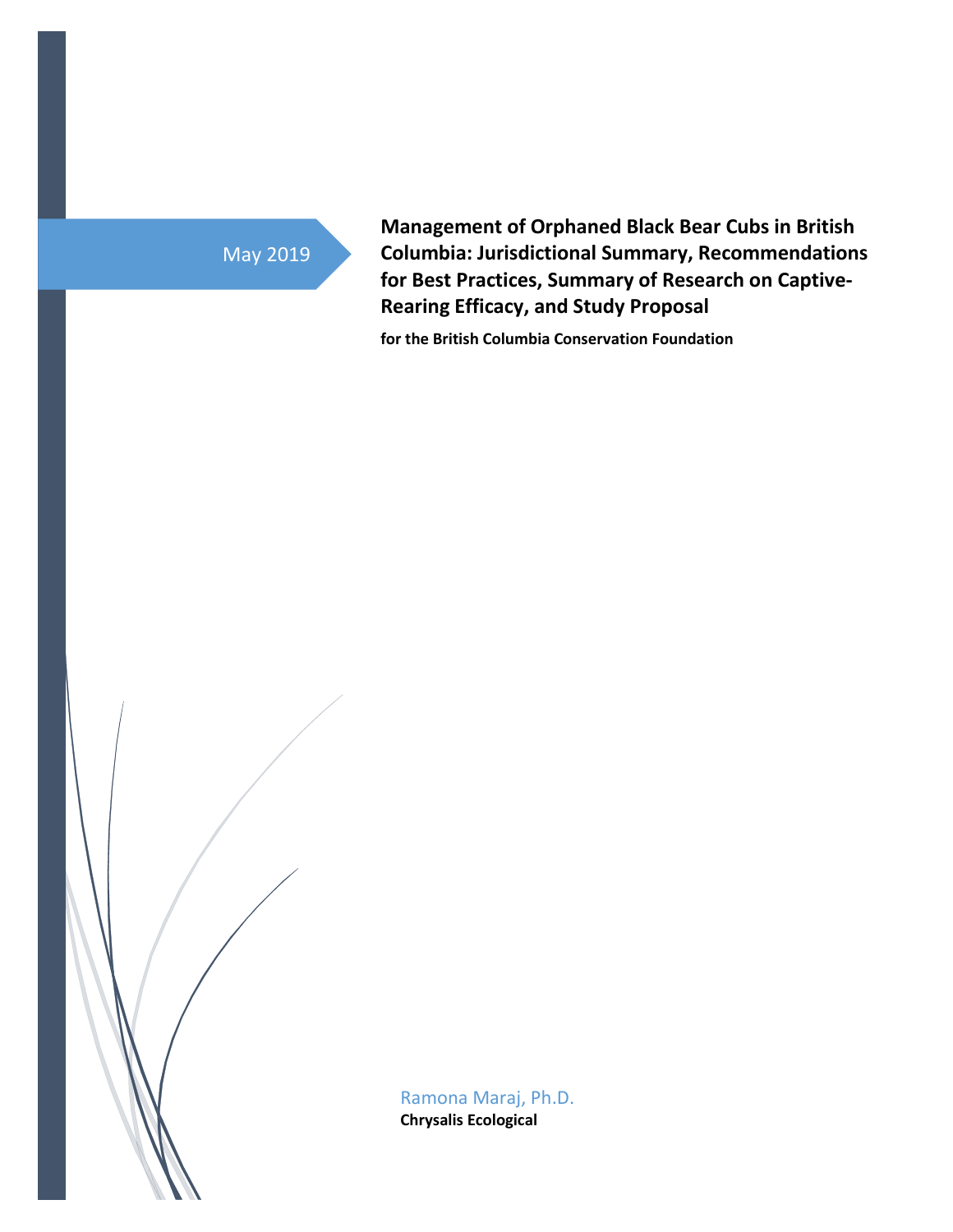# May 2019

**Management of Orphaned Black Bear Cubs in British Columbia: Jurisdictional Summary, Recommendations for Best Practices, Summary of Research on Captive-Rearing Efficacy, and Study Proposal**

**for the British Columbia Conservation Foundation**

Ramona Maraj, Ph.D. **Chrysalis Ecological**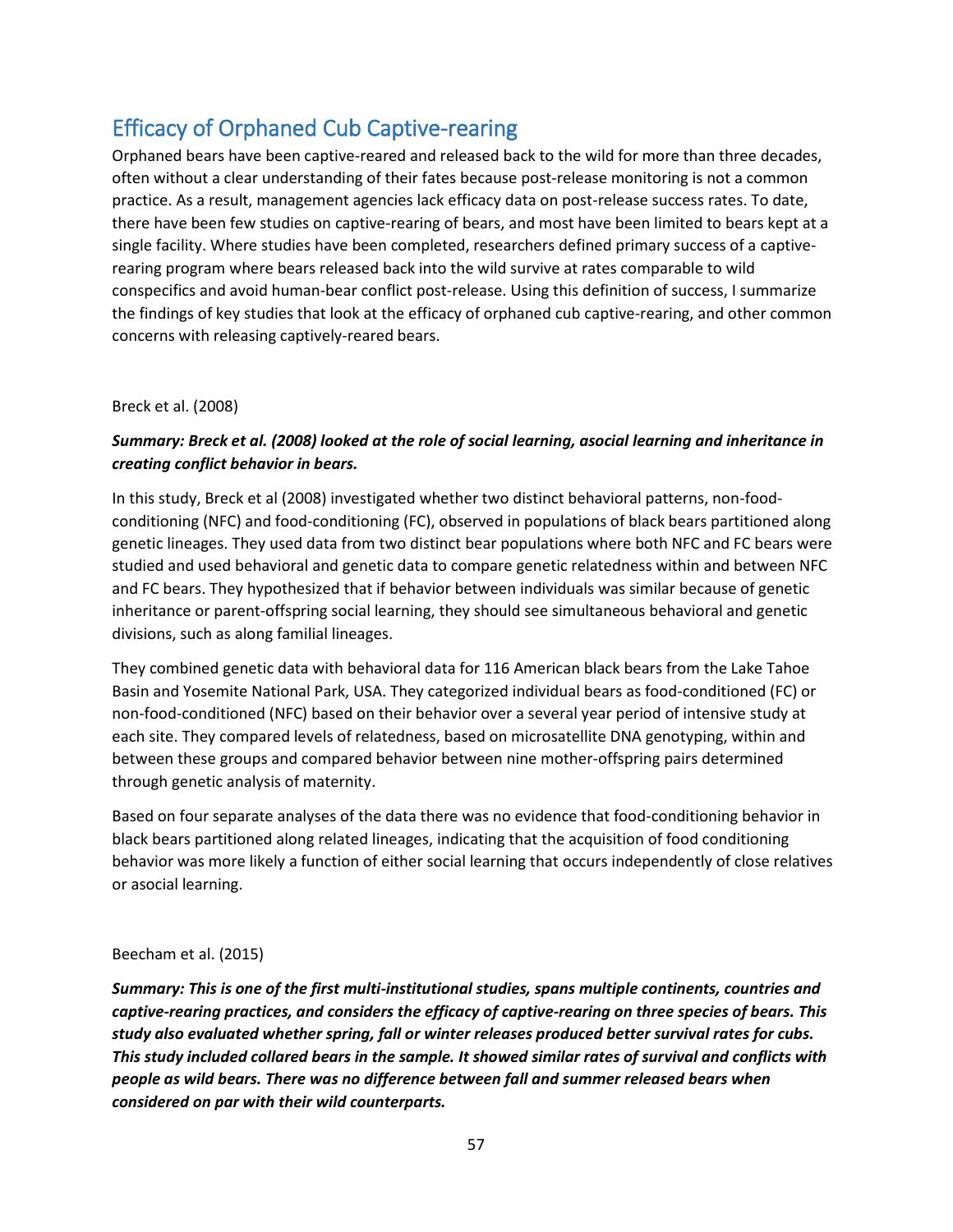## Efficacy of Orphaned Cub Captive-rearing

Orphaned bears have been captive-reared and released back to the wild for more than three decades, often without a clear understanding of their fates because post-release monitoring is not a common practice. As a result, management agencies lack efficacy data on post-release success rates. To date, there have been few studies on captive-rearing of bears, and most have been limited to bears kept at a single facility. Where studies have been completed, researchers defined primary success of a captiverearing program where bears released back into the wild survive at rates comparable to wild conspecifics and avoid human-bear conflict post-release. Using this definition of success, I summarize the findings of key studies that look at the efficacy of orphaned cub captive-rearing, and other common concerns with releasing captively-reared bears.

## Breck et al. (2008)

## *Summary: Breck et al. (2008) looked at the role of social learning, asocial learning and inheritance in creating conflict behavior in bears.*

In this study, Breck et al (2008) investigated whether two distinct behavioral patterns, non-foodconditioning (NFC) and food-conditioning (FC), observed in populations of black bears partitioned along genetic lineages. They used data from two distinct bear populations where both NFC and FC bears were studied and used behavioral and genetic data to compare genetic relatedness within and between NFC and FC bears. They hypothesized that if behavior between individuals was similar because of genetic inheritance or parent-offspring social learning, they should see simultaneous behavioral and genetic divisions, such as along familial lineages.

They combined genetic data with behavioral data for 116 American black bears from the Lake Tahoe Basin and Yosemite National Park, USA. They categorized individual bears as food-conditioned (FC) or non-food-conditioned (NFC) based on their behavior over a several year period of intensive study at each site. They compared levels of relatedness, based on microsatellite DNA genotyping, within and between these groups and compared behavior between nine mother-offspring pairs determined through genetic analysis of maternity.

Based on four separate analyses of the data there was no evidence that food-conditioning behavior in black bears partitioned along related lineages, indicating that the acquisition of food conditioning behavior was more likely a function of either social learning that occurs independently of close relatives or asocial learning.

## Beecham et al. (2015)

*Summary: This is one of the first multi-institutional studies, spans multiple continents, countries and captive-rearing practices, and considers the efficacy of captive-rearing on three species of bears. This study also evaluated whether spring, fall or winter releases produced better survival rates for cubs. This study included collared bears in the sample. It showed similar rates of survival and conflicts with people as wild bears. There was no difference between fall and summer released bears when considered on par with their wild counterparts.*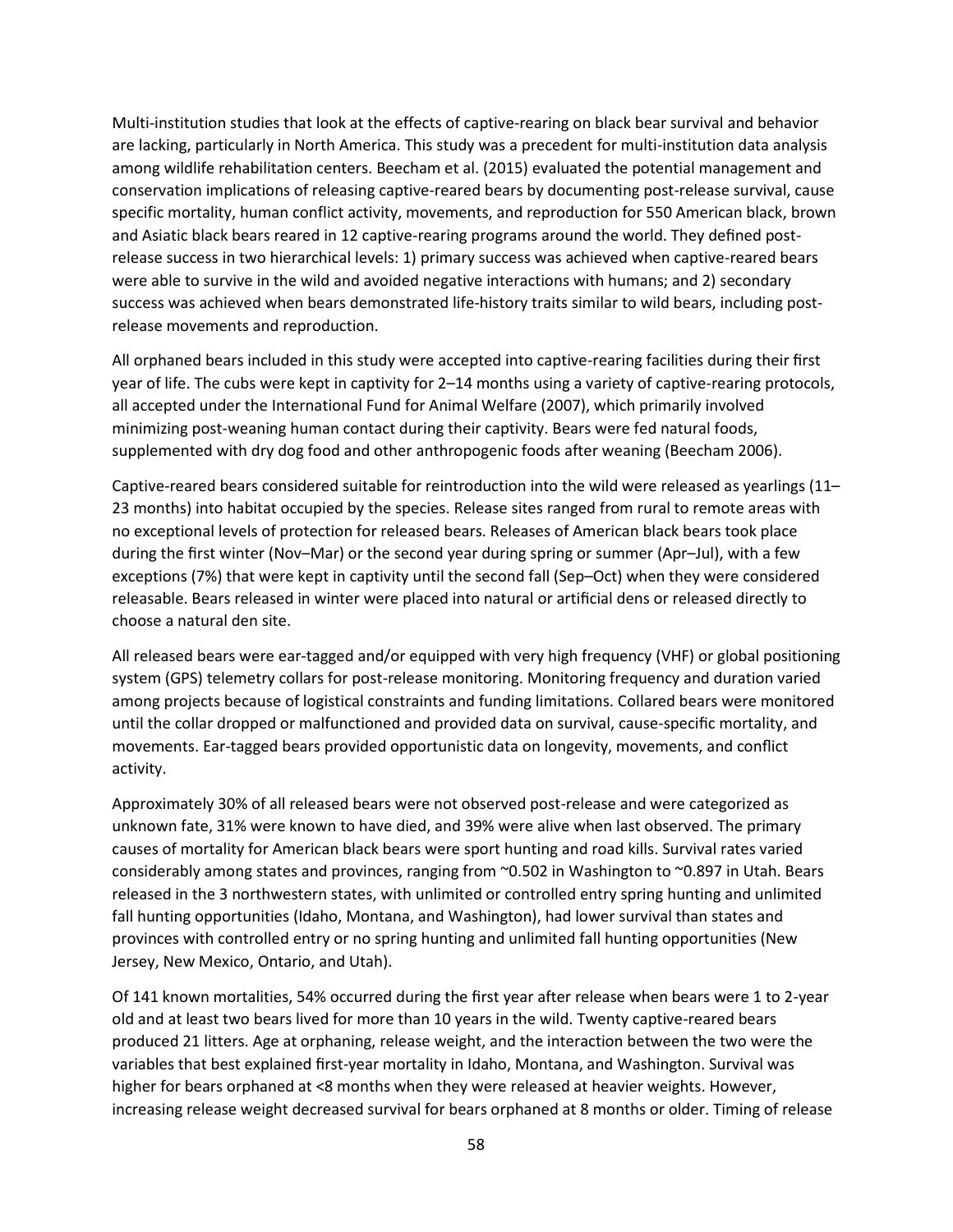Multi-institution studies that look at the effects of captive-rearing on black bear survival and behavior are lacking, particularly in North America. This study was a precedent for multi-institution data analysis among wildlife rehabilitation centers. Beecham et al. (2015) evaluated the potential management and conservation implications of releasing captive-reared bears by documenting post-release survival, cause specific mortality, human conflict activity, movements, and reproduction for 550 American black, brown and Asiatic black bears reared in 12 captive-rearing programs around the world. They defined postrelease success in two hierarchical levels: 1) primary success was achieved when captive-reared bears were able to survive in the wild and avoided negative interactions with humans; and 2) secondary success was achieved when bears demonstrated life-history traits similar to wild bears, including postrelease movements and reproduction.

All orphaned bears included in this study were accepted into captive-rearing facilities during their first year of life. The cubs were kept in captivity for 2–14 months using a variety of captive-rearing protocols, all accepted under the International Fund for Animal Welfare (2007), which primarily involved minimizing post-weaning human contact during their captivity. Bears were fed natural foods, supplemented with dry dog food and other anthropogenic foods after weaning (Beecham 2006).

Captive-reared bears considered suitable for reintroduction into the wild were released as yearlings (11– 23 months) into habitat occupied by the species. Release sites ranged from rural to remote areas with no exceptional levels of protection for released bears. Releases of American black bears took place during the first winter (Nov–Mar) or the second year during spring or summer (Apr–Jul), with a few exceptions (7%) that were kept in captivity until the second fall (Sep–Oct) when they were considered releasable. Bears released in winter were placed into natural or artificial dens or released directly to choose a natural den site.

All released bears were ear-tagged and/or equipped with very high frequency (VHF) or global positioning system (GPS) telemetry collars for post-release monitoring. Monitoring frequency and duration varied among projects because of logistical constraints and funding limitations. Collared bears were monitored until the collar dropped or malfunctioned and provided data on survival, cause-specific mortality, and movements. Ear-tagged bears provided opportunistic data on longevity, movements, and conflict activity.

Approximately 30% of all released bears were not observed post-release and were categorized as unknown fate, 31% were known to have died, and 39% were alive when last observed. The primary causes of mortality for American black bears were sport hunting and road kills. Survival rates varied considerably among states and provinces, ranging from ~0.502 in Washington to ~0.897 in Utah. Bears released in the 3 northwestern states, with unlimited or controlled entry spring hunting and unlimited fall hunting opportunities (Idaho, Montana, and Washington), had lower survival than states and provinces with controlled entry or no spring hunting and unlimited fall hunting opportunities (New Jersey, New Mexico, Ontario, and Utah).

Of 141 known mortalities, 54% occurred during the first year after release when bears were 1 to 2-year old and at least two bears lived for more than 10 years in the wild. Twenty captive-reared bears produced 21 litters. Age at orphaning, release weight, and the interaction between the two were the variables that best explained first-year mortality in Idaho, Montana, and Washington. Survival was higher for bears orphaned at <8 months when they were released at heavier weights. However, increasing release weight decreased survival for bears orphaned at 8 months or older. Timing of release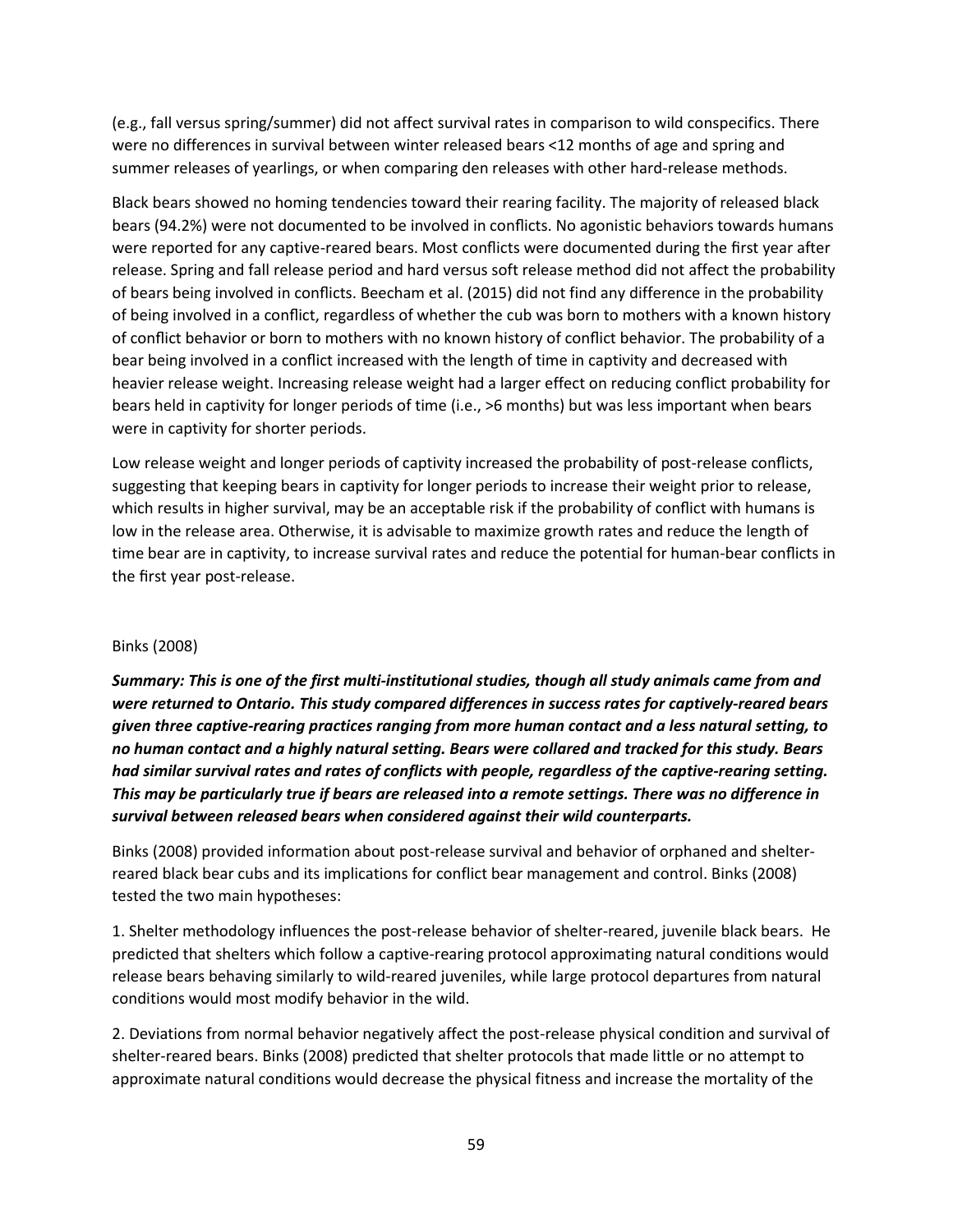(e.g., fall versus spring/summer) did not affect survival rates in comparison to wild conspecifics. There were no differences in survival between winter released bears <12 months of age and spring and summer releases of yearlings, or when comparing den releases with other hard-release methods.

Black bears showed no homing tendencies toward their rearing facility. The majority of released black bears (94.2%) were not documented to be involved in conflicts. No agonistic behaviors towards humans were reported for any captive-reared bears. Most conflicts were documented during the first year after release. Spring and fall release period and hard versus soft release method did not affect the probability of bears being involved in conflicts. Beecham et al. (2015) did not find any difference in the probability of being involved in a conflict, regardless of whether the cub was born to mothers with a known history of conflict behavior or born to mothers with no known history of conflict behavior. The probability of a bear being involved in a conflict increased with the length of time in captivity and decreased with heavier release weight. Increasing release weight had a larger effect on reducing conflict probability for bears held in captivity for longer periods of time (i.e., >6 months) but was less important when bears were in captivity for shorter periods.

Low release weight and longer periods of captivity increased the probability of post-release conflicts, suggesting that keeping bears in captivity for longer periods to increase their weight prior to release, which results in higher survival, may be an acceptable risk if the probability of conflict with humans is low in the release area. Otherwise, it is advisable to maximize growth rates and reduce the length of time bear are in captivity, to increase survival rates and reduce the potential for human-bear conflicts in the first year post-release.

## Binks (2008)

*Summary: This is one of the first multi-institutional studies, though all study animals came from and were returned to Ontario. This study compared differences in success rates for captively-reared bears given three captive-rearing practices ranging from more human contact and a less natural setting, to no human contact and a highly natural setting. Bears were collared and tracked for this study. Bears had similar survival rates and rates of conflicts with people, regardless of the captive-rearing setting. This may be particularly true if bears are released into a remote settings. There was no difference in survival between released bears when considered against their wild counterparts.* 

Binks (2008) provided information about post-release survival and behavior of orphaned and shelterreared black bear cubs and its implications for conflict bear management and control. Binks (2008) tested the two main hypotheses:

1. Shelter methodology influences the post-release behavior of shelter-reared, juvenile black bears. He predicted that shelters which follow a captive-rearing protocol approximating natural conditions would release bears behaving similarly to wild-reared juveniles, while large protocol departures from natural conditions would most modify behavior in the wild.

2. Deviations from normal behavior negatively affect the post-release physical condition and survival of shelter-reared bears. Binks (2008) predicted that shelter protocols that made little or no attempt to approximate natural conditions would decrease the physical fitness and increase the mortality of the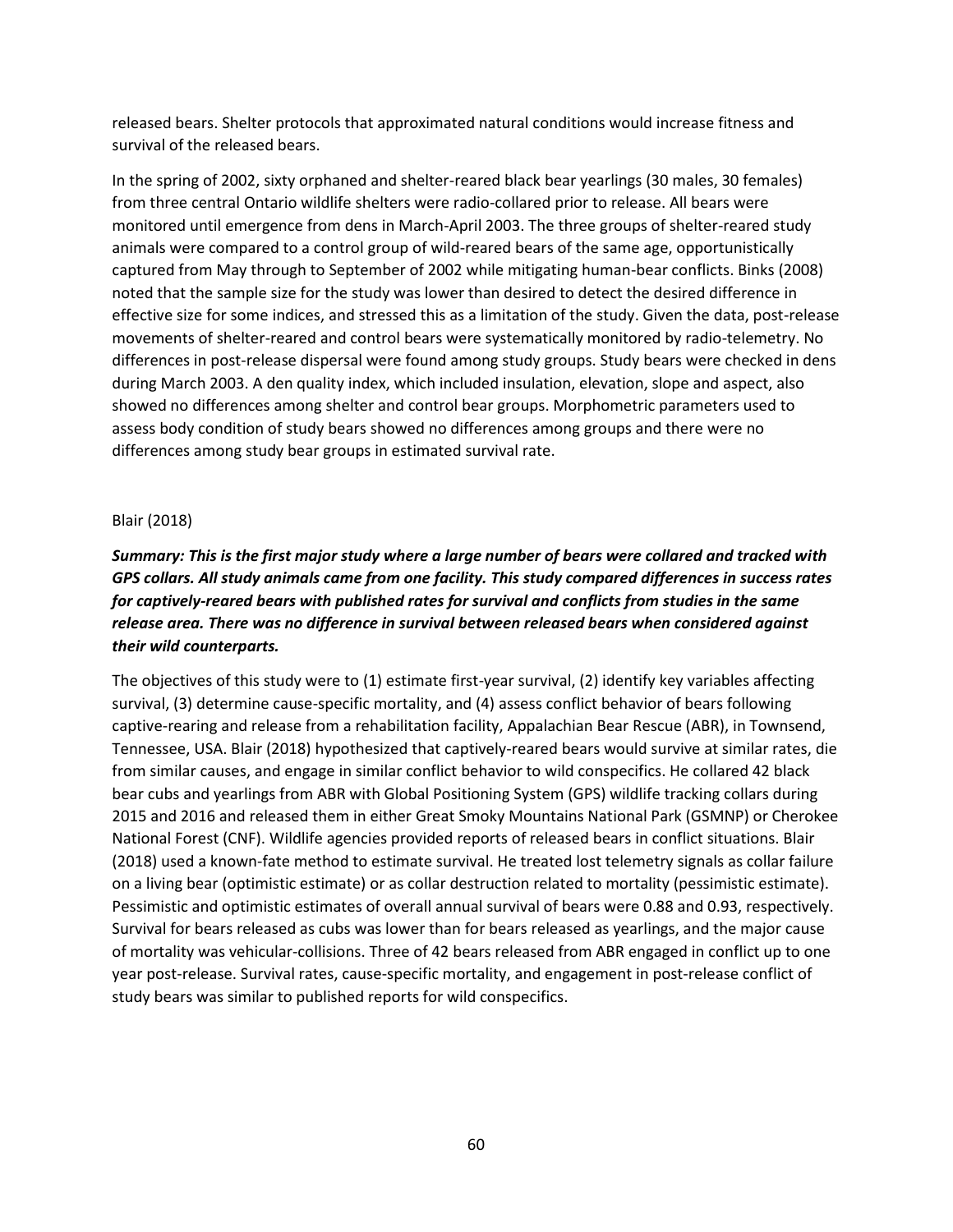released bears. Shelter protocols that approximated natural conditions would increase fitness and survival of the released bears.

In the spring of 2002, sixty orphaned and shelter-reared black bear yearlings (30 males, 30 females) from three central Ontario wildlife shelters were radio-collared prior to release. All bears were monitored until emergence from dens in March-April 2003. The three groups of shelter-reared study animals were compared to a control group of wild-reared bears of the same age, opportunistically captured from May through to September of 2002 while mitigating human-bear conflicts. Binks (2008) noted that the sample size for the study was lower than desired to detect the desired difference in effective size for some indices, and stressed this as a limitation of the study. Given the data, post-release movements of shelter-reared and control bears were systematically monitored by radio-telemetry. No differences in post-release dispersal were found among study groups. Study bears were checked in dens during March 2003. A den quality index, which included insulation, elevation, slope and aspect, also showed no differences among shelter and control bear groups. Morphometric parameters used to assess body condition of study bears showed no differences among groups and there were no differences among study bear groups in estimated survival rate.

## Blair (2018)

## *Summary: This is the first major study where a large number of bears were collared and tracked with GPS collars. All study animals came from one facility. This study compared differences in success rates for captively-reared bears with published rates for survival and conflicts from studies in the same release area. There was no difference in survival between released bears when considered against their wild counterparts.*

The objectives of this study were to (1) estimate first-year survival, (2) identify key variables affecting survival, (3) determine cause-specific mortality, and (4) assess conflict behavior of bears following captive-rearing and release from a rehabilitation facility, Appalachian Bear Rescue (ABR), in Townsend, Tennessee, USA. Blair (2018) hypothesized that captively-reared bears would survive at similar rates, die from similar causes, and engage in similar conflict behavior to wild conspecifics. He collared 42 black bear cubs and yearlings from ABR with Global Positioning System (GPS) wildlife tracking collars during 2015 and 2016 and released them in either Great Smoky Mountains National Park (GSMNP) or Cherokee National Forest (CNF). Wildlife agencies provided reports of released bears in conflict situations. Blair (2018) used a known-fate method to estimate survival. He treated lost telemetry signals as collar failure on a living bear (optimistic estimate) or as collar destruction related to mortality (pessimistic estimate). Pessimistic and optimistic estimates of overall annual survival of bears were 0.88 and 0.93, respectively. Survival for bears released as cubs was lower than for bears released as yearlings, and the major cause of mortality was vehicular-collisions. Three of 42 bears released from ABR engaged in conflict up to one year post-release. Survival rates, cause-specific mortality, and engagement in post-release conflict of study bears was similar to published reports for wild conspecifics.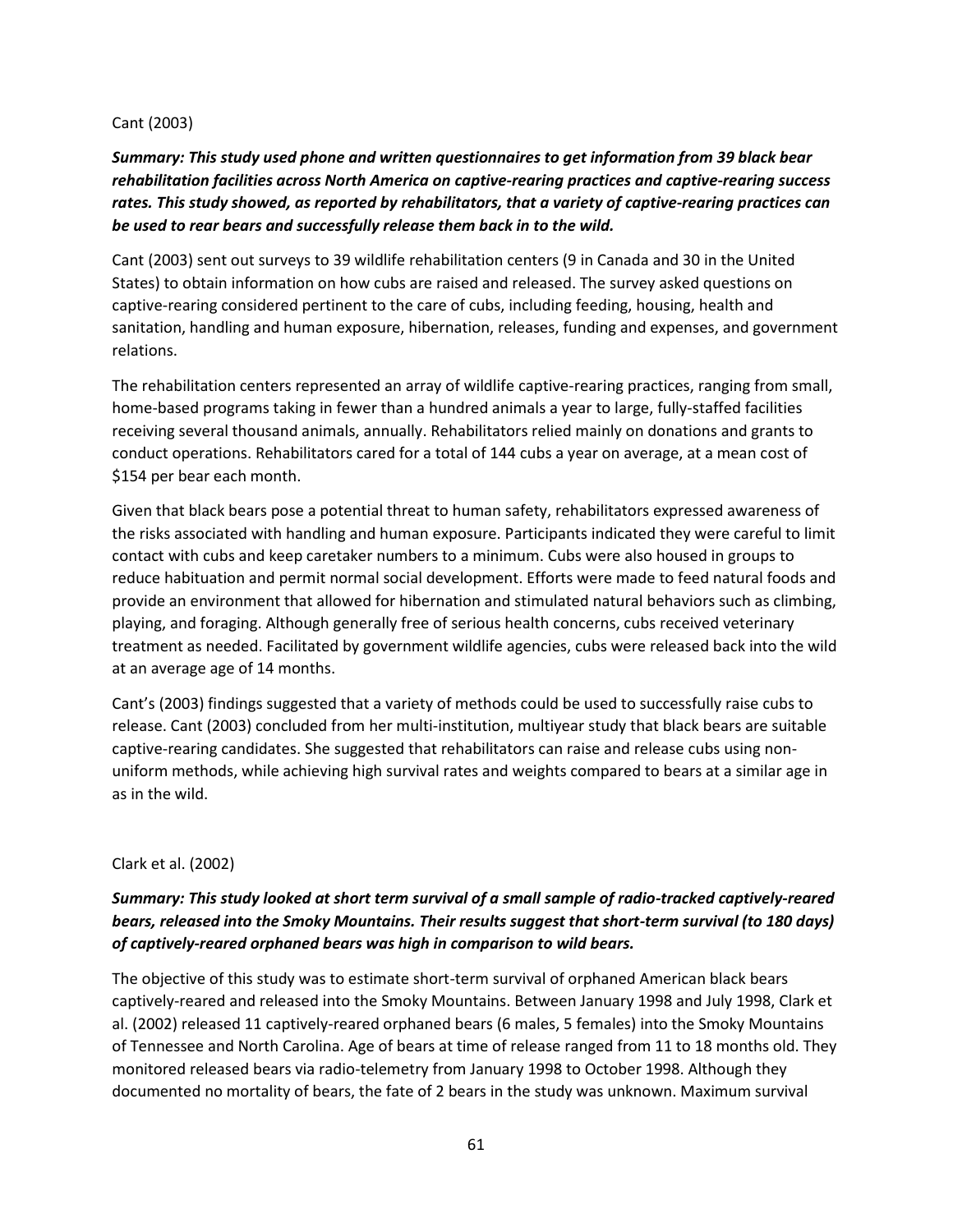## Cant (2003)

## *Summary: This study used phone and written questionnaires to get information from 39 black bear rehabilitation facilities across North America on captive-rearing practices and captive-rearing success rates. This study showed, as reported by rehabilitators, that a variety of captive-rearing practices can be used to rear bears and successfully release them back in to the wild.*

Cant (2003) sent out surveys to 39 wildlife rehabilitation centers (9 in Canada and 30 in the United States) to obtain information on how cubs are raised and released. The survey asked questions on captive-rearing considered pertinent to the care of cubs, including feeding, housing, health and sanitation, handling and human exposure, hibernation, releases, funding and expenses, and government relations.

The rehabilitation centers represented an array of wildlife captive-rearing practices, ranging from small, home-based programs taking in fewer than a hundred animals a year to large, fully-staffed facilities receiving several thousand animals, annually. Rehabilitators relied mainly on donations and grants to conduct operations. Rehabilitators cared for a total of 144 cubs a year on average, at a mean cost of \$154 per bear each month.

Given that black bears pose a potential threat to human safety, rehabilitators expressed awareness of the risks associated with handling and human exposure. Participants indicated they were careful to limit contact with cubs and keep caretaker numbers to a minimum. Cubs were also housed in groups to reduce habituation and permit normal social development. Efforts were made to feed natural foods and provide an environment that allowed for hibernation and stimulated natural behaviors such as climbing, playing, and foraging. Although generally free of serious health concerns, cubs received veterinary treatment as needed. Facilitated by government wildlife agencies, cubs were released back into the wild at an average age of 14 months.

Cant's (2003) findings suggested that a variety of methods could be used to successfully raise cubs to release. Cant (2003) concluded from her multi-institution, multiyear study that black bears are suitable captive-rearing candidates. She suggested that rehabilitators can raise and release cubs using nonuniform methods, while achieving high survival rates and weights compared to bears at a similar age in as in the wild.

## Clark et al. (2002)

## *Summary: This study looked at short term survival of a small sample of radio-tracked captively-reared bears, released into the Smoky Mountains. Their results suggest that short-term survival (to 180 days) of captively-reared orphaned bears was high in comparison to wild bears.*

The objective of this study was to estimate short-term survival of orphaned American black bears captively-reared and released into the Smoky Mountains. Between January 1998 and July 1998, Clark et al. (2002) released 11 captively-reared orphaned bears (6 males, 5 females) into the Smoky Mountains of Tennessee and North Carolina. Age of bears at time of release ranged from 11 to 18 months old. They monitored released bears via radio-telemetry from January 1998 to October 1998. Although they documented no mortality of bears, the fate of 2 bears in the study was unknown. Maximum survival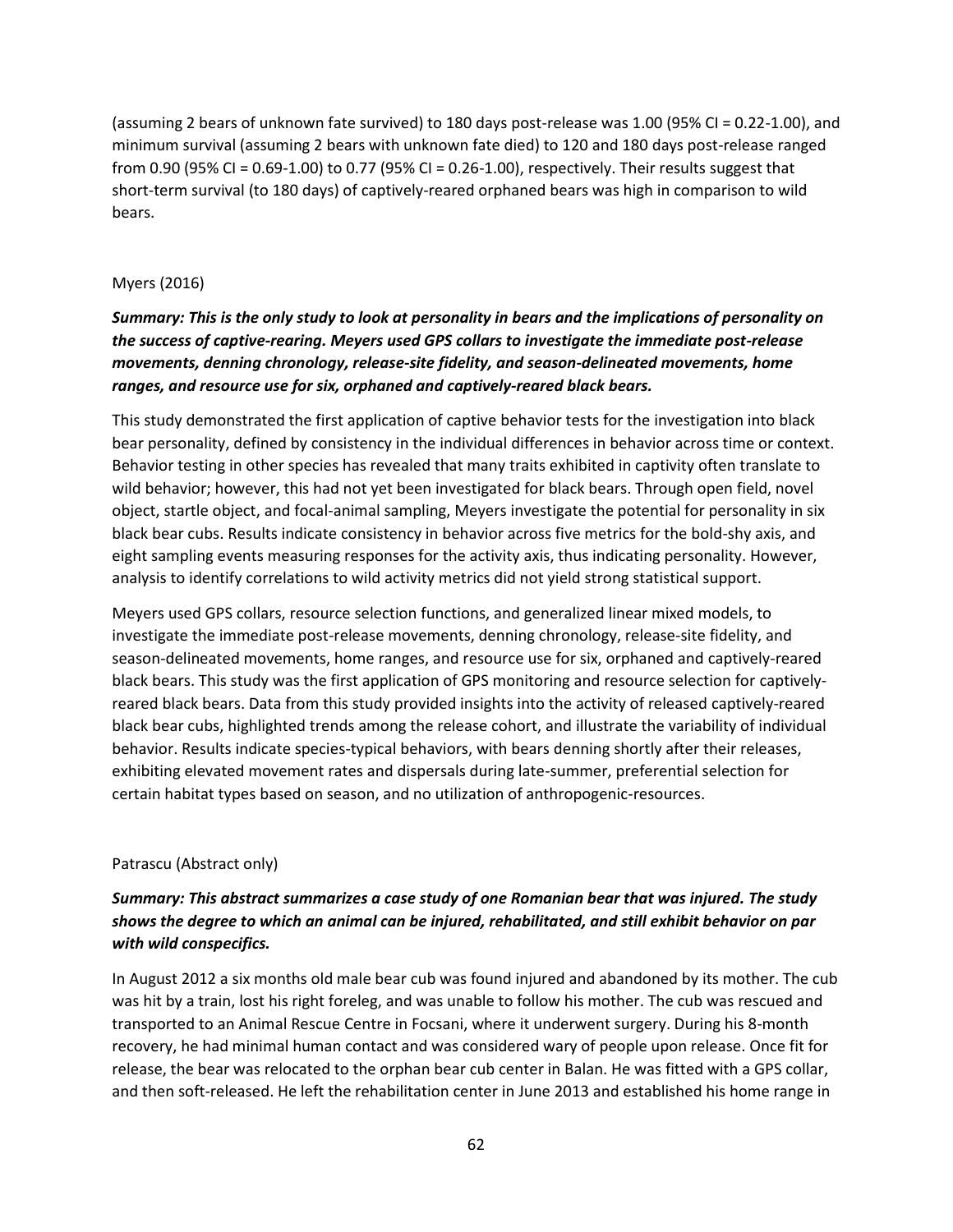(assuming 2 bears of unknown fate survived) to 180 days post-release was 1.00 (95% CI = 0.22-1.00), and minimum survival (assuming 2 bears with unknown fate died) to 120 and 180 days post-release ranged from 0.90 (95% CI = 0.69-1.00) to 0.77 (95% CI = 0.26-1.00), respectively. Their results suggest that short-term survival (to 180 days) of captively-reared orphaned bears was high in comparison to wild bears.

#### Myers (2016)

## *Summary: This is the only study to look at personality in bears and the implications of personality on the success of captive-rearing. Meyers used GPS collars to investigate the immediate post-release movements, denning chronology, release-site fidelity, and season-delineated movements, home ranges, and resource use for six, orphaned and captively-reared black bears.*

This study demonstrated the first application of captive behavior tests for the investigation into black bear personality, defined by consistency in the individual differences in behavior across time or context. Behavior testing in other species has revealed that many traits exhibited in captivity often translate to wild behavior; however, this had not yet been investigated for black bears. Through open field, novel object, startle object, and focal-animal sampling, Meyers investigate the potential for personality in six black bear cubs. Results indicate consistency in behavior across five metrics for the bold-shy axis, and eight sampling events measuring responses for the activity axis, thus indicating personality. However, analysis to identify correlations to wild activity metrics did not yield strong statistical support.

Meyers used GPS collars, resource selection functions, and generalized linear mixed models, to investigate the immediate post-release movements, denning chronology, release-site fidelity, and season-delineated movements, home ranges, and resource use for six, orphaned and captively-reared black bears. This study was the first application of GPS monitoring and resource selection for captivelyreared black bears. Data from this study provided insights into the activity of released captively-reared black bear cubs, highlighted trends among the release cohort, and illustrate the variability of individual behavior. Results indicate species-typical behaviors, with bears denning shortly after their releases, exhibiting elevated movement rates and dispersals during late-summer, preferential selection for certain habitat types based on season, and no utilization of anthropogenic-resources.

#### Patrascu (Abstract only)

## *Summary: This abstract summarizes a case study of one Romanian bear that was injured. The study shows the degree to which an animal can be injured, rehabilitated, and still exhibit behavior on par with wild conspecifics.*

In August 2012 a six months old male bear cub was found injured and abandoned by its mother. The cub was hit by a train, lost his right foreleg, and was unable to follow his mother. The cub was rescued and transported to an Animal Rescue Centre in Focsani, where it underwent surgery. During his 8-month recovery, he had minimal human contact and was considered wary of people upon release. Once fit for release, the bear was relocated to the orphan bear cub center in Balan. He was fitted with a GPS collar, and then soft-released. He left the rehabilitation center in June 2013 and established his home range in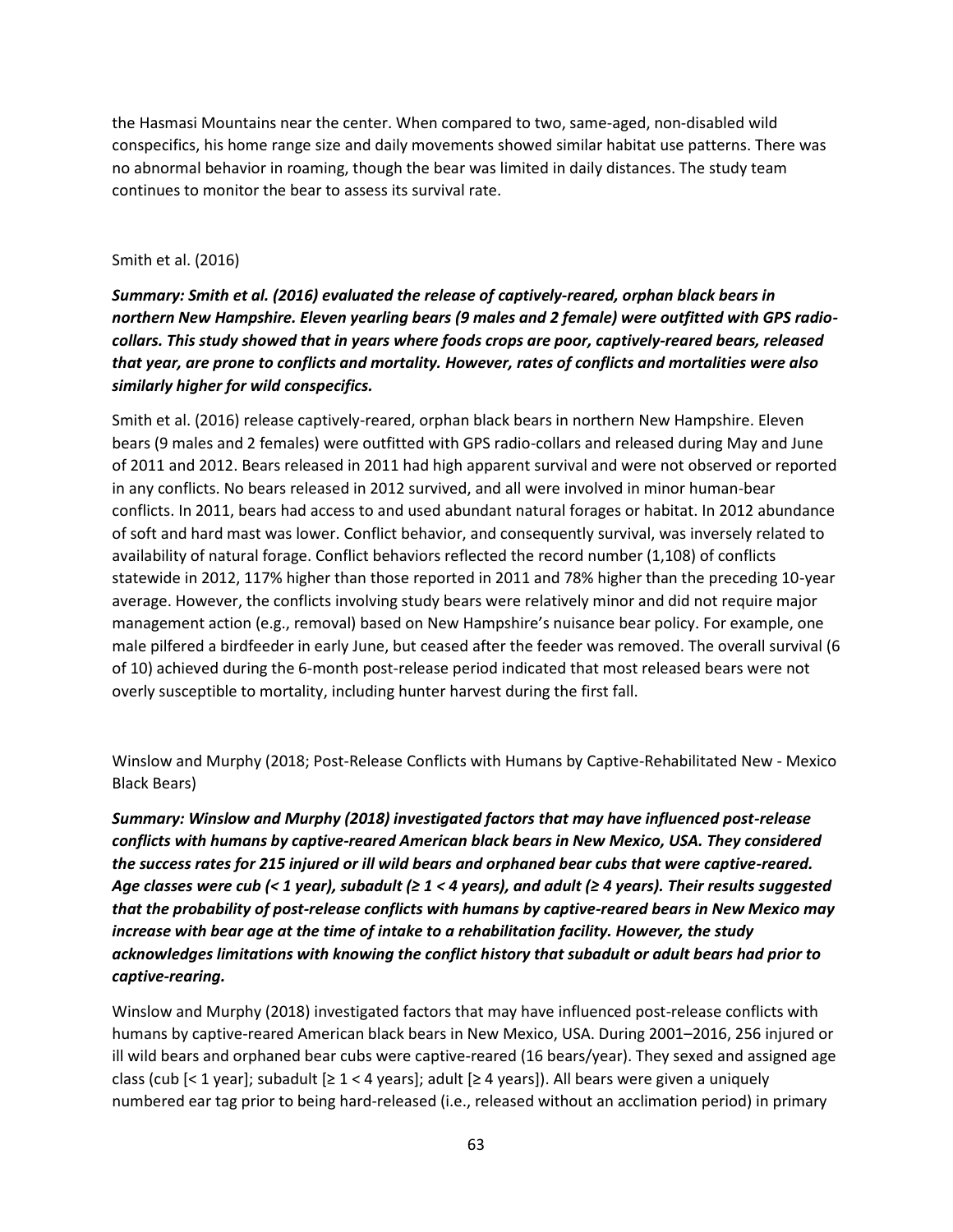the Hasmasi Mountains near the center. When compared to two, same-aged, non-disabled wild conspecifics, his home range size and daily movements showed similar habitat use patterns. There was no abnormal behavior in roaming, though the bear was limited in daily distances. The study team continues to monitor the bear to assess its survival rate.

#### Smith et al. (2016)

*Summary: Smith et al. (2016) evaluated the release of captively-reared, orphan black bears in northern New Hampshire. Eleven yearling bears (9 males and 2 female) were outfitted with GPS radiocollars. This study showed that in years where foods crops are poor, captively-reared bears, released that year, are prone to conflicts and mortality. However, rates of conflicts and mortalities were also similarly higher for wild conspecifics.* 

Smith et al. (2016) release captively-reared, orphan black bears in northern New Hampshire. Eleven bears (9 males and 2 females) were outfitted with GPS radio-collars and released during May and June of 2011 and 2012. Bears released in 2011 had high apparent survival and were not observed or reported in any conflicts. No bears released in 2012 survived, and all were involved in minor human-bear conflicts. In 2011, bears had access to and used abundant natural forages or habitat. In 2012 abundance of soft and hard mast was lower. Conflict behavior, and consequently survival, was inversely related to availability of natural forage. Conflict behaviors reflected the record number (1,108) of conflicts statewide in 2012, 117% higher than those reported in 2011 and 78% higher than the preceding 10-year average. However, the conflicts involving study bears were relatively minor and did not require major management action (e.g., removal) based on New Hampshire's nuisance bear policy. For example, one male pilfered a birdfeeder in early June, but ceased after the feeder was removed. The overall survival (6 of 10) achieved during the 6-month post-release period indicated that most released bears were not overly susceptible to mortality, including hunter harvest during the first fall.

Winslow and Murphy (2018; Post-Release Conflicts with Humans by Captive-Rehabilitated New - Mexico Black Bears)

*Summary: Winslow and Murphy (2018) investigated factors that may have influenced post-release conflicts with humans by captive-reared American black bears in New Mexico, USA. They considered the success rates for 215 injured or ill wild bears and orphaned bear cubs that were captive-reared. Age classes were cub (< 1 year), subadult (≥ 1 < 4 years), and adult (≥ 4 years). Their results suggested that the probability of post-release conflicts with humans by captive-reared bears in New Mexico may increase with bear age at the time of intake to a rehabilitation facility. However, the study acknowledges limitations with knowing the conflict history that subadult or adult bears had prior to captive-rearing.*

Winslow and Murphy (2018) investigated factors that may have influenced post-release conflicts with humans by captive-reared American black bears in New Mexico, USA. During 2001–2016, 256 injured or ill wild bears and orphaned bear cubs were captive-reared (16 bears/year). They sexed and assigned age class (cub  $\lceil$ < 1 year]; subadult  $\lceil$  ≥ 1 < 4 years]; adult  $\lceil$  ≥ 4 years]). All bears were given a uniquely numbered ear tag prior to being hard-released (i.e., released without an acclimation period) in primary